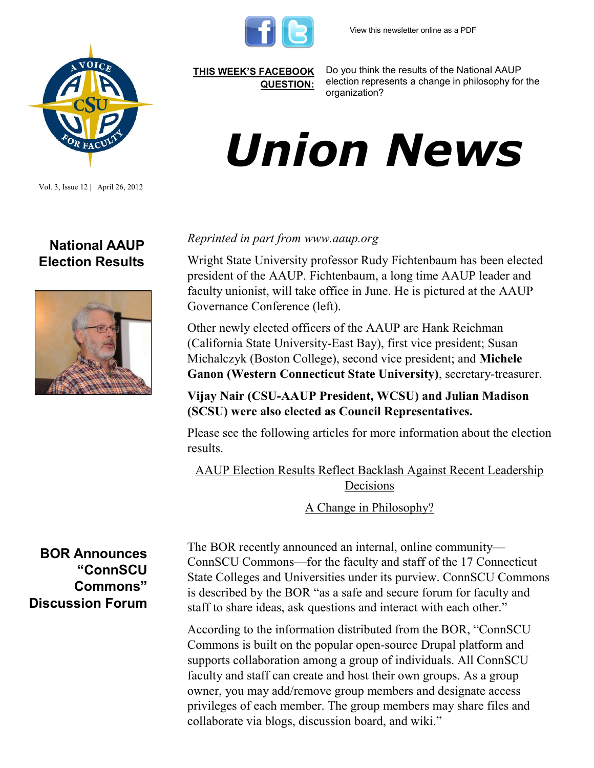



Vol. 3, Issue 12 | April 26, 2012

## **National AAUP Election Results**



*Reprinted in part from www.aaup.org* 

Wright State University professor Rudy Fichtenbaum has been elected president of the AAUP. Fichtenbaum, a long time AAUP leader and faculty unionist, will take office in June. He is pictured at the AAUP Governance Conference (left).

Other newly elected officers of the AAUP are Hank Reichman (California State University-East Bay), first vice president; Susan Michalczyk (Boston College), second vice president; and **Michele Ganon (Western Connecticut State University)**, secretary-treasurer.

**Vijay Nair (CSU-AAUP President, WCSU) and Julian Madison (SCSU) were also elected as Council Representatives.**

Please see the following articles for more information about the election results.

[AAUP Election Results Reflect Backlash Against Recent Leadership](http://www.google.com/url?sa=X&q=http://chronicle.com/article/AAUP-Election-Results-Reflect/131604/&ct=ga&cad=CAcQAhgBIAAoATACOAJA_s7G_ARIAVAAWABiBWVuLVVT&cd=giAqJovrwCU&usg=AFQjCNG0Vz5zSaCrKPHZQ5fiVzEHFK-MCg)  [Decisions](http://www.google.com/url?sa=X&q=http://chronicle.com/article/AAUP-Election-Results-Reflect/131604/&ct=ga&cad=CAcQAhgBIAAoATACOAJA_s7G_ARIAVAAWABiBWVuLVVT&cd=giAqJovrwCU&usg=AFQjCNG0Vz5zSaCrKPHZQ5fiVzEHFK-MCg)

[A Change in Philosophy?](http://www.google.com/url?sa=X&q=http://www.insidehighered.com/news/2012/04/20/aaup-about-change-course&ct=ga&cad=CAcQAhgBIAAoATAAOABA_s7G_ARIAVAAWABiBWVuLVVT&cd=giAqJovrwCU&usg=AFQjCNF3HsWb8Hl2D-k_Z7JkKqXQNcdXEw)

**BOR Announces "ConnSCU Commons" Discussion Forum**

The BOR recently announced an internal, online community— ConnSCU Commons—for the faculty and staff of the 17 Connecticut State Colleges and Universities under its purview. ConnSCU Commons is described by the BOR "as a safe and secure forum for faculty and staff to share ideas, ask questions and interact with each other."

According to the information distributed from the BOR, "ConnSCU Commons is built on the popular open-source Drupal platform and supports collaboration among a group of individuals. All ConnSCU faculty and staff can create and host their own groups. As a group owner, you may add/remove group members and designate access privileges of each member. The group members may share files and collaborate via blogs, discussion board, and wiki."

**[THIS WEEK'S FACEBOOK](http://www.facebook.com/csuaaup#!/pages/CSU-AAUP/112907808749535)  [QUESTION:](http://www.facebook.com/csuaaup#!/pages/CSU-AAUP/112907808749535)**

Do you think the results of the National AAUP election represents a change in philosophy for the organization?

## *Union News*